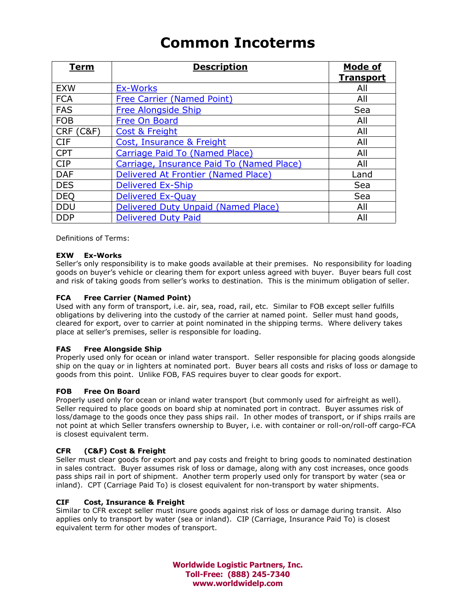# Common Incoterms

| Term                 | <b>Description</b>                        | Mode of<br><b>Transport</b> |
|----------------------|-------------------------------------------|-----------------------------|
| <b>EXW</b>           | <b>Ex-Works</b>                           | All                         |
| <b>FCA</b>           | Free Carrier (Named Point)                | All                         |
| <b>FAS</b>           | <b>Free Alongside Ship</b>                | Sea                         |
| <b>FOB</b>           | Free On Board                             | All                         |
| <b>CRF (C&amp;F)</b> | Cost & Freight                            | All                         |
| <b>CIF</b>           | Cost, Insurance & Freight                 | All                         |
| <b>CPT</b>           | Carriage Paid To (Named Place)            | All                         |
| <b>CIP</b>           | Carriage, Insurance Paid To (Named Place) | All                         |
| <b>DAF</b>           | Delivered At Frontier (Named Place)       | Land                        |
| <b>DES</b>           | <b>Delivered Ex-Ship</b>                  | Sea                         |
| <b>DEQ</b>           | <b>Delivered Ex-Quay</b>                  | Sea                         |
| <b>DDU</b>           | Delivered Duty Unpaid (Named Place)       | All                         |
| <b>DDP</b>           | <b>Delivered Duty Paid</b>                | All                         |

Definitions of Terms:

# EXW Ex-Works

Seller's only responsibility is to make goods available at their premises. No responsibility for loading goods on buyer's vehicle or clearing them for export unless agreed with buyer. Buyer bears full cost and risk of taking goods from seller's works to destination. This is the minimum obligation of seller.

# FCA Free Carrier (Named Point)

Used with any form of transport, i.e. air, sea, road, rail, etc. Similar to FOB except seller fulfills obligations by delivering into the custody of the carrier at named point. Seller must hand goods, cleared for export, over to carrier at point nominated in the shipping terms. Where delivery takes place at seller's premises, seller is responsible for loading.

# FAS Free Alongside Ship

Properly used only for ocean or inland water transport. Seller responsible for placing goods alongside ship on the quay or in lighters at nominated port. Buyer bears all costs and risks of loss or damage to goods from this point. Unlike FOB, FAS requires buyer to clear goods for export.

# FOB Free On Board

Properly used only for ocean or inland water transport (but commonly used for airfreight as well). Seller required to place goods on board ship at nominated port in contract. Buyer assumes risk of loss/damage to the goods once they pass ships rail. In other modes of transport, or if ships rrails are not point at which Seller transfers ownership to Buyer, i.e. with container or roll-on/roll-off cargo-FCA is closest equivalent term.

# CFR (C&F) Cost & Freight

Seller must clear goods for export and pay costs and freight to bring goods to nominated destination in sales contract. Buyer assumes risk of loss or damage, along with any cost increases, once goods pass ships rail in port of shipment. Another term properly used only for transport by water (sea or inland). CPT (Carriage Paid To) is closest equivalent for non-transport by water shipments.

# CIF Cost, Insurance & Freight

Similar to CFR except seller must insure goods against risk of loss or damage during transit. Also applies only to transport by water (sea or inland). CIP (Carriage, Insurance Paid To) is closest equivalent term for other modes of transport.

> Worldwide Logistic Partners, Inc. Toll-Free: (888) 245-7340 www.worldwidelp.com